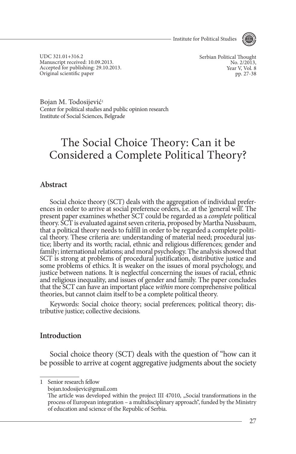- Institute for Political Studies



UDC 321.01+316.2 Manuscript received: 10.09.2013. Accepted for publishing: 29.10.2013. Original scientific paper

Serbian Political Thought No. 2/2013. Year V, Vol. 8 pp. 27-38

Bojan M. Todosijević<sup>1</sup> Center for political studies and public opinion research Institute of Social Sciences, Belgrade

# The Social Choice Theory: Can it be considered a Complete Political Theory?

#### **Abstract**

Social choice theory (SCT) deals with the aggregation of individual prefer- ences in order to arrive at social preference orders, i.e. at the 'general will'. The present paper examines whether SCT could be regarded as a *complete* political theory. SCT is evaluated against seven criteria, proposed by Martha Nussbaum, cal theory. These criteria are: understanding of material need; procedural justice; liberty and its worth; racial, ethnic and religious differences; gender and family; international relations; and moral psychology. The analysis showed that SCT is strong at problems of procedural justification, distributive justice and some problems of ethics. It is weaker on the issues of moral psychology, and justice between nations. It is neglectful concerning the issues of racial, ethnic and religious inequality, and issues of gender and family. The paper concludes that the SCT can have an important place *within* more comprehensive political theories, but cannot claim itself to be a complete political theory.

Keywords: Social choice theory; social preferences; political theory; distributive justice; collective decisions.

#### **Introduction**

Social choice theory (SCT) deals with the question of "how can it be possible to arrive at cogent aggregative judgments about the society

1 Senior research fellow

bojan.todosijevic@gmail.com

The article was developed within the project III 47010, "Social transformations in the process of European integration – a multidisciplinary approach", funded by the Ministry of education and science of the Republic of Serbia.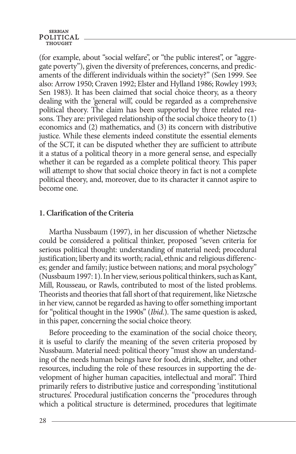#### **SERBIAN** POLITICAL

(for example, about "social welfare", or "the public interest", or "aggregate poverty"), given the diversity of preferences, concerns, and predicaments of the different individuals within the society?" (Sen 1999. See also: Arrow 1950; Craven 1992; Elster and Hylland 1986; Rowley 1993; Sen 1983). It has been claimed that social choice theory, as a theory dealing with the 'general will', could be regarded as a comprehensive political theory. The claim has been supported by three related reasons. They are: privileged relationship of the social choice theory to (1) economics and (2) mathematics, and (3) its concern with distributive justice. While these elements indeed constitute the essential elements of the SCT, it can be disputed whether they are sufficient to attribute it a status of a political theory in a more general sense, and especially whether it can be regarded as a complete political theory. This paper will attempt to show that social choice theory in fact is not a complete political theory, and, moreover, due to its character it cannot aspire to become one.

### **1. Clarification of the criteria**

Martha Nussbaum (1997), in her discussion of whether Nietzsche could be considered a political thinker, proposed "seven criteria for serious political thought: understanding of material need; procedural justification; liberty and its worth; racial, ethnic and religious differences; gender and family; justice between nations; and moral psychology" (Nussbaum 1997: 1). In her view, serious political thinkers, such as Kant, Mill, Rousseau, or Rawls, contributed to most of the listed problems. Theorists and theories that fall short of that requirement, like Nietzsche in her view, cannot be regarded as having to offer something important for "political thought in the 1990s" (*Ibid*.). The same question is asked, in this paper, concerning the social choice theory.

Before proceeding to the examination of the social choice theory, it is useful to clarify the meaning of the seven criteria proposed by Nussbaum. Material need: political theory "must show an understanding of the needs human beings have for food, drink, shelter, and other resources, including the role of these resources in supporting the development of higher human capacities, intellectual and moral". Third primarily refers to distributive justice and corresponding 'institutional structures'. Procedural justification concerns the "procedures through which a political structure is determined, procedures that legitimate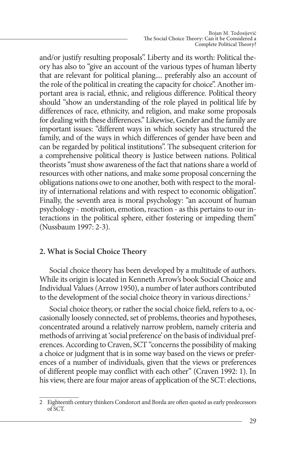and/or justify resulting proposals". Liberty and its worth: Political theory has also to "give an account of the various types of human liberty that are relevant for political planing.... preferably also an account of the role of the political in creating the capacity for choice". Another important area is racial, ethnic, and religious difference. Political theory should "show an understanding of the role played in political life by differences of race, ethnicity, and religion, and make some proposals for dealing with these differences." Likewise, Gender and the family are important issues: "different ways in which society has structured the family, and of the ways in which differences of gender have been and can be regarded by political institutions". The subsequent criterion for a comprehensive political theory is Justice between nations. Political theorists "must show awareness of the fact that nations share a world of resources with other nations, and make some proposal concerning the obligations nations owe to one another, both with respect to the morality of international relations and with respect to economic obligation". Finally, the seventh area is moral psychology: "an account of human psychology - motivation, emotion, reaction - as this pertains to our interactions in the political sphere, either fostering or impeding them" (Nussbaum 1997: 2-3).

# **2. What is Social Choice Theory**

Social choice theory has been developed by a multitude of authors. While its origin is located in Kenneth Arrow's book Social Choice and Individual Values (Arrow 1950), a number of later authors contributed to the development of the social choice theory in various directions.<sup>2</sup>

Social choice theory, or rather the social choice field, refers to a, occasionally loosely connected, set of problems, theories and hypotheses, concentrated around a relatively narrow problem, namely criteria and methods of arriving at 'social preference' on the basis of individual preferences. According to Craven, SCT "concerns the possibility of making a choice or judgment that is in some way based on the views or preferences of a number of individuals, given that the views or preferences of different people may conflict with each other" (Craven 1992: 1). In his view, there are four major areas of application of the SCT: elections,

<sup>2</sup> Eighteenth century thinkers Condorcet and Borda are often quoted as early predecessors of SCT.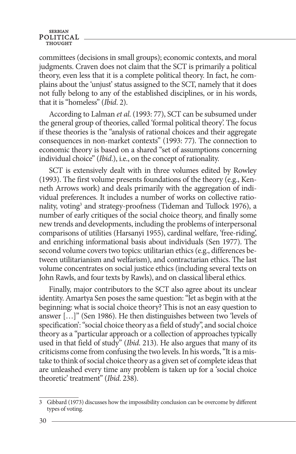#### **SERBIAN** POLITICAL **THOUGHT**

committees (decisions in small groups); economic contexts, and moral judgments. Craven does not claim that the SCT is primarily a political theory, even less that it is a complete political theory. In fact, he complains about the 'unjust' status assigned to the SCT, namely that it does not fully belong to any of the established disciplines, or in his words, that it is "homeless" (*Ibid*. 2).

According to Lalman *et al*. (1993: 77), SCT can be subsumed under the general group of theories, called 'formal political theory'. The focus if these theories is the "analysis of rational choices and their aggregate consequences in non-market contexts" (1993: 77). The connection to economic theory is based on a shared "set of assumptions concerning individual choice" (*Ibid*.), i.e., on the concept of rationality.

SCT is extensively dealt with in three volumes edited by Rowley (1993). The first volume presents foundations of the theory (e.g., Kenneth Arrows work) and deals primarily with the aggregation of individual preferences. It includes a number of works on collective rationality, voting<sup>3</sup> and strategy-proofness (Tideman and Tullock 1976), a number of early critiques of the social choice theory, and finally some new trends and developments, including the problems of interpersonal comparisons of utilities (Harsanyi 1955), cardinal welfare, 'free-riding', and enriching informational basis about individuals (Sen 1977). The second volume covers two topics: utilitarian ethics (e.g., differences between utilitarianism and welfarism), and contractarian ethics. The last volume concentrates on social justice ethics (including several texts on John Rawls, and four texts by Rawls), and on classical liberal ethics.

Finally, major contributors to the SCT also agree about its unclear identity. Amartya Sen poses the same question: "let as begin with at the beginning: what is social choice theory? This is not an easy question to answer […]" (Sen 1986). He then distinguishes between two 'levels of specification': "social choice theory as a field of study", and social choice theory as a "particular approach or a collection of approaches typically used in that field of study" (*Ibid*. 213). He also argues that many of its criticisms come from confusing the two levels. In his words, "It is a mistake to think of social choice theory as a given set of complete ideas that are unleashed every time any problem is taken up for a 'social choice theoretic' treatment" (*Ibid*. 238).

<sup>3</sup> Gibbard (1973) discusses how the impossibility conclusion can be overcome by different types of voting.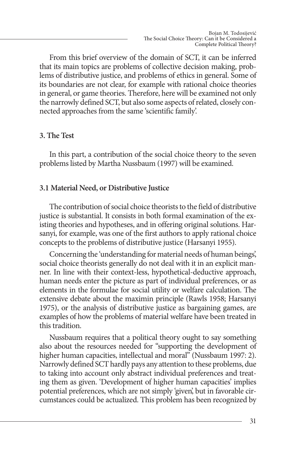From this brief overview of the domain of SCT, it can be inferred that its main topics are problems of collective decision making, problems of distributive justice, and problems of ethics in general. Some of its boundaries are not clear, for example with rational choice theories in general, or game theories. Therefore, here will be examined not only the narrowly defined SCT, but also some aspects of related, closely connected approaches from the same 'scientific family'.

# **3. The Test**

In this part, a contribution of the social choice theory to the seven problems listed by Martha Nussbaum (1997) will be examined.

#### **3.1 Material Need, or Distributive Justice**

The contribution of social choice theorists to the field of distributive justice is substantial. It consists in both formal examination of the existing theories and hypotheses, and in offering original solutions. Harsanyi, for example, was one of the first authors to apply rational choice concepts to the problems of distributive justice (Harsanyi 1955).

Concerning the 'understanding for material needs of human beings', social choice theorists generally do not deal with it in an explicit manner. In line with their context-less, hypothetical-deductive approach, human needs enter the picture as part of individual preferences, or as elements in the formulae for social utility or welfare calculation. The extensive debate about the maximin principle (Rawls 1958; Harsanyi 1975), or the analysis of distributive justice as bargaining games, are examples of how the problems of material welfare have been treated in this tradition.

Nussbaum requires that a political theory ought to say something also about the resources needed for "supporting the development of higher human capacities, intellectual and moral" (Nussbaum 1997: 2). Narrowly defined SCT hardly pays any attention to these problems, due to taking into account only abstract individual preferences and treating them as given. 'Development of higher human capacities' implies potential preferences, which are not simply 'given', but in favorable circumstances could be actualized. This problem has been recognized by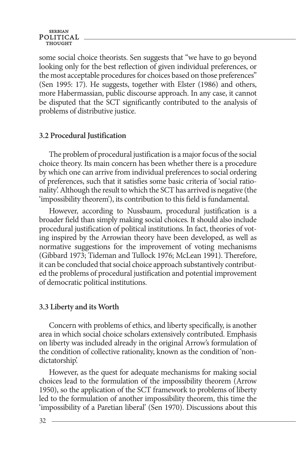some social choice theorists. Sen suggests that "we have to go beyond looking only for the best reflection of given individual preferences, or the most acceptable procedures for choices based on those preferences" (Sen 1995: 17). He suggests, together with Elster (1986) and others, more Habermassian, public discourse approach. In any case, it cannot be disputed that the SCT significantly contributed to the analysis of problems of distributive justice.

### **3.2 Procedural justification**

The problem of procedural justification is a major focus of the social choice theory. Its main concern has been whether there is a procedure by which one can arrive from individual preferences to social ordering of preferences, such that it satisfies some basic criteria of 'social rationality'. Although the result to which the SCT has arrived is negative (the 'impossibility theorem'), its contribution to this field is fundamental.

However, according to Nussbaum, procedural justification is a broader field than simply making social choices. It should also include procedural justification of political institutions. In fact, theories of voting inspired by the Arrowian theory have been developed, as well as normative suggestions for the improvement of voting mechanisms (Gibbard 1973; Tideman and Tullock 1976; McLean 1991). Therefore, it can be concluded that social choice approach substantively contributed the problems of procedural justification and potential improvement of democratic political institutions.

#### **3.3 Liberty and its worth**

Concern with problems of ethics, and liberty specifically, is another area in which social choice scholars extensively contributed. Emphasis on liberty was included already in the original Arrow's formulation of the condition of collective rationality, known as the condition of 'nondictatorship'.

However, as the quest for adequate mechanisms for making social choices lead to the formulation of the impossibility theorem (Arrow 1950), so the application of the SCT framework to problems of liberty led to the formulation of another impossibility theorem, this time the 'impossibility of a Paretian liberal' (Sen 1970). Discussions about this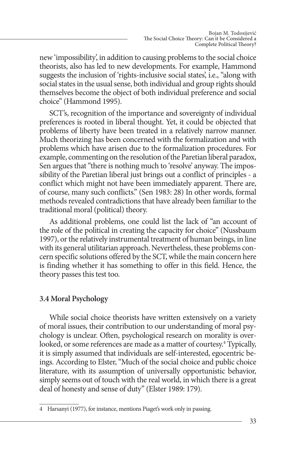new 'impossibility', in addition to causing problems to the social choice theorists, also has led to new developments. For example, Hammond suggests the inclusion of 'rights-inclusive social states', i.e., "along with social states in the usual sense, both individual and group rights should themselves become the object of both individual preference and social choice" (Hammond 1995).

SCT's, recognition of the importance and sovereignty of individual preferences is rooted in liberal thought. Yet, it could be objected that problems of liberty have been treated in a relatively narrow manner. Much theorizing has been concerned with the formalization and with problems which have arisen due to the formalization procedures. For example, commenting on the resolution of the Paretian liberal paradox, Sen argues that "there is nothing much to 'resolve' anyway. The impossibility of the Paretian liberal just brings out a conflict of principles - a conflict which might not have been immediately apparent. There are, of course, many such conflicts." (Sen 1983: 28) In other words, formal methods revealed contradictions that have already been familiar to the traditional moral (political) theory.

As additional problems, one could list the lack of "an account of the role of the political in creating the capacity for choice" (Nussbaum 1997), or the relatively instrumental treatment of human beings, in line with its general utilitarian approach. Nevertheless, these problems concern specific solutions offered by the SCT, while the main concern here is finding whether it has something to offer in this field. Hence, the theory passes this test too.

# **3.4 Moral psychology**

While social choice theorists have written extensively on a variety of moral issues, their contribution to our understanding of moral psychology is unclear. Often, psychological research on morality is overlooked, or some references are made as a matter of courtesy.<sup>4</sup> Typically, it is simply assumed that individuals are self-interested, egocentric beings. According to Elster, "Much of the social choice and public choice literature, with its assumption of universally opportunistic behavior, simply seems out of touch with the real world, in which there is a great deal of honesty and sense of duty" (Elster 1989: 179).

<sup>4</sup> Harsanyi (1977), for instance, mentions Piaget's work only in passing.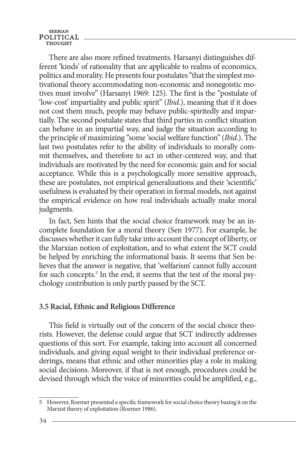**SERBIAN** POLITICAL THOUGHT

There are also more refined treatments. Harsanyi distinguishes different 'kinds' of rationality that are applicable to realms of economics, politics and morality. He presents four postulates "that the simplest motivational theory accommodating non-economic and nonegoistic motives must involve" (Harsanyi 1969: 125). The first is the "postulate of 'low-cost' impartiality and public spirit" (*Ibid*.), meaning that if it does not cost them much, people may behave public-spiritedly and impartially. The second postulate states that third parties in conflict situation can behave in an impartial way, and judge the situation according to the principle of maximizing "some 'social welfare function" (*Ibid*.). The last two postulates refer to the ability of individuals to morally commit themselves, and therefore to act in other-centered way, and that individuals are motivated by the need for economic gain and for social acceptance. While this is a psychologically more sensitive approach, these are postulates, not empirical generalizations and their 'scientific' usefulness is evaluated by their operation in formal models, not against the empirical evidence on how real individuals actually make moral judgments.

In fact, Sen hints that the social choice framework may be an incomplete foundation for a moral theory (Sen 1977). For example, he discusses whether it can fully take into account the concept of liberty, or the Marxian notion of exploitation, and to what extent the SCT could be helped by enriching the informational basis. It seems that Sen believes that the answer is negative, that 'welfarism' cannot fully account for such concepts.<sup>5</sup> In the end, it seems that the test of the moral psychology contribution is only partly passed by the SCT.

#### **3.5 Racial, Ethnic and Religious Difference**

This field is virtually out of the concern of the social choice theorists. However, the defense could argue that SCT indirectly addresses questions of this sort. For example, taking into account all concerned individuals, and giving equal weight to their individual preference orderings, means that ethnic and other minorities play a role in making social decisions. Moreover, if that is not enough, procedures could be devised through which the voice of minorities could be amplified, e.g.,

<sup>5</sup> However, Roemer presented a specific framework for social choice theory basing it on the Marxist theory of exploitation (Roemer 1986).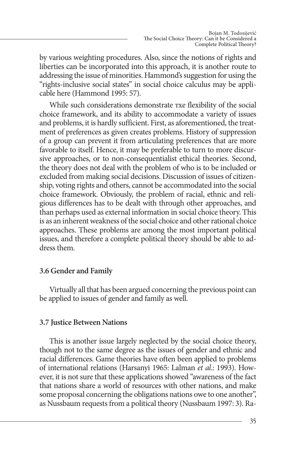by various weighting procedures. Also, since the notions of rights and liberties can be incorporated into this approach, it is another route to addressing the issue of minorities. Hammond's suggestion for using the "rights-inclusive social states" in social choice calculus may be applicable here (Hammond 1995: 57).

While such considerations demonstrate тхе flexibility of the social choice framework, and its ability to accommodate a variety of issues and problems, it is hardly sufficient. First, as aforementioned, the treatment of preferences as given creates problems. History of suppression of a group can prevent it from articulating preferences that are more favorable to itself. Hence, it may be preferable to turn to more discursive approaches, or to non-consequentialist ethical theories. Second, the theory does not deal with the problem of who is to be included or excluded from making social decisions. Discussion of issues of citizenship, voting rights and others, cannot be accommodated into the social choice framework. Obviously, the problem of racial, ethnic and religious differences has to be dealt with through other approaches, and than perhaps used as external information in social choice theory. This is as an inherent weakness of the social choice and other rational choice approaches. These problems are among the most important political issues, and therefore a complete political theory should be able to address them.

# **3.6 Gender and family**

Virtually all that has been argued concerning the previous point can be applied to issues of gender and family as well.

#### **3.7 Justice Between Nations**

This is another issue largely neglected by the social choice theory, though not to the same degree as the issues of gender and ethnic and racial differences. Game theories have often been applied to problems of international relations (Harsanyi 1965: Lalman *et al*.: 1993). However, it is not sure that these applications showed "awareness of the fact that nations share a world of resources with other nations, and make some proposal concerning the obligations nations owe to one another", as Nussbaum requests from a political theory (Nussbaum 1997: 3). Ra-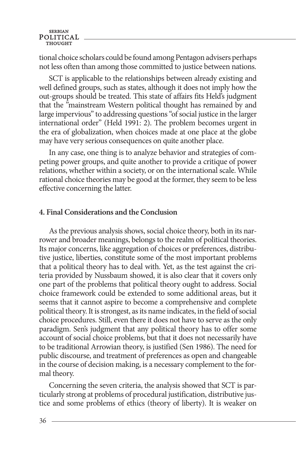#### **SERBIAN** POLITICAL

tional choice scholars could be found among Pentagon advisers perhaps not less often than among those committed to justice between nations.

SCT is applicable to the relationships between already existing and well defined groups, such as states, although it does not imply how the out-groups should be treated. This state of affairs fits Held's judgment that the "mainstream Western political thought has remained by and large impervious" to addressing questions "of social justice in the larger international order" (Held 1991: 2). The problem becomes urgent in the era of globalization, when choices made at one place at the globe may have very serious consequences on quite another place.

In any case, one thing is to analyze behavior and strategies of competing power groups, and quite another to provide a critique of power relations, whether within a society, or on the international scale. While rational choice theories may be good at the former, they seem to be less effective concerning the latter.

#### **4. Final considerations and the conclusion**

As the previous analysis shows, social choice theory, both in its narrower and broader meanings, belongs to the realm of political theories. Its major concerns, like aggregation of choices or preferences, distributive justice, liberties, constitute some of the most important problems that a political theory has to deal with. Yet, as the test against the criteria provided by Nussbaum showed, it is also clear that it covers only one part of the problems that political theory ought to address. Social choice framework could be extended to some additional areas, but it seems that it cannot aspire to become a comprehensive and complete political theory. It is strongest, as its name indicates, in the field of social choice procedures. Still, even there it does not have to serve as the only paradigm. Sen's judgment that any political theory has to offer some account of social choice problems, but that it does not necessarily have to be traditional Arrowian theory, is justified (Sen 1986). The need for public discourse, and treatment of preferences as open and changeable in the course of decision making, is a necessary complement to the formal theory.

Concerning the seven criteria, the analysis showed that SCT is particularly strong at problems of procedural justification, distributive justice and some problems of ethics (theory of liberty). It is weaker on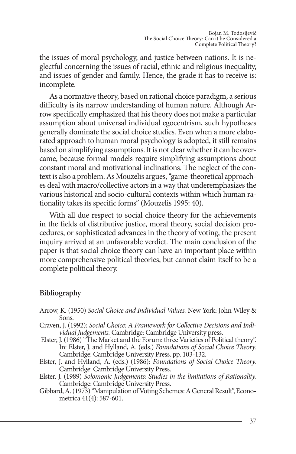the issues of moral psychology, and justice between nations. It is neglectful concerning the issues of racial, ethnic and religious inequality, and issues of gender and family. Hence, the grade it has to receive is: incomplete.

As a normative theory, based on rational choice paradigm, a serious difficulty is its narrow understanding of human nature. Although Arrow specifically emphasized that his theory does not make a particular assumption about universal individual egocentrism, such hypotheses generally dominate the social choice studies. Even when a more elaborated approach to human moral psychology is adopted, it still remains based on simplifying assumptions. It is not clear whether it can be overcame, because formal models require simplifying assumptions about constant moral and motivational inclinations. The neglect of the context is also a problem. As Mouzelis argues, "game-theoretical approaches deal with macro/collective actors in a way that underemphasizes the various historical and socio-cultural contexts within which human rationality takes its specific forms" (Mouzelis 1995: 40).

With all due respect to social choice theory for the achievements in the fields of distributive justice, moral theory, social decision procedures, or sophisticated advances in the theory of voting, the present inquiry arrived at an unfavorable verdict. The main conclusion of the paper is that social choice theory can have an important place within more comprehensive political theories, but cannot claim itself to be a complete political theory.

#### **Bibliography**

- Arrow, K. (1950) *Social Choice and Individual Values.* New York: John Wiley & Sons.
- Craven, J. (1992): *Social Choice: A Framework for Collective Decisions and Individual Judgements.* Cambridge: Cambridge University press.
- Elster, J. (1986) "The Market and the Forum: three Varieties of Political theory". In: Elster, J. and Hylland, A. (eds.) *Foundations of Social Choice Theory.* Cambridge: Cambridge University Press. pp. 103-132.
- Elster, J. and Hylland, A. (eds.) (1986): *Foundations of Social Choice Theory.* Cambridge: Cambridge University Press.
- Elster, J. (1989) *Solomonic Judgements: Studies in the limitations of Rationality.*  Cambridge: Cambridge University Press.
- Gibbard, A. (1973) "Manipulation of Voting Schemes: A General Result", Econometrica 41(4): 587-601.